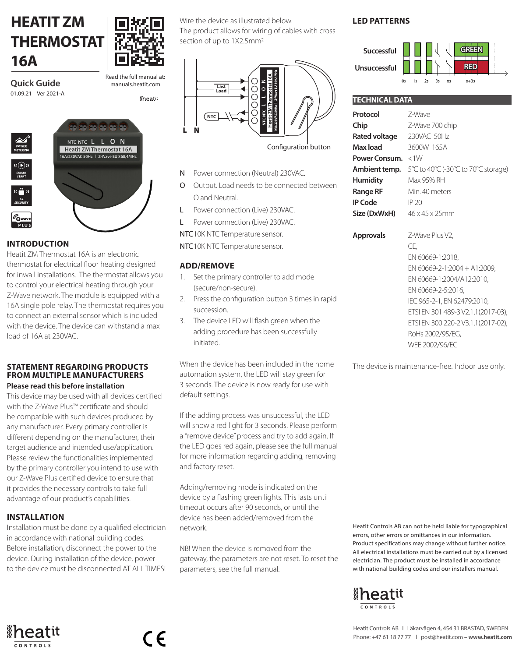# **HEATIT ZM THERMOSTAT 16A**



**Quick Guide** 01.09.21 Ver 2021-A Read the full manual at: **Iheati** 

NTC NTC L L O N **Heatit ZM Thermostat 16A** A/230VAC 50Hz | Z-Wave EU 868.4MHz

# **INTRODUCTION**

Heatit ZM Thermostat 16A is an electronic thermostat for electrical floor heating designed for inwall installations. The thermostat allows you to control your electrical heating through your Z-Wave network. The module is equipped with a 16A single pole relay. The thermostat requires you to connect an external sensor which is included with the device. The device can withstand a max load of 16A at 230VAC.

#### **STATEMENT REGARDING PRODUCTS FROM MULTIPLE MANUFACTURERS Please read this before installation**

This device may be used with all devices certified with the Z-Wave Plus™ certificate and should be compatible with such devices produced by any manufacturer. Every primary controller is different depending on the manufacturer, their target audience and intended use/application. Please review the functionalities implemented by the primary controller you intend to use with our Z-Wave Plus certified device to ensure that it provides the necessary controls to take full advantage of our product's capabilities.

# **INSTALLATION**

Installation must be done by a qualified electrician in accordance with national building codes. Before installation, disconnect the power to the device. During installation of the device, power to the device must be disconnected AT ALL TIMES!

 $\epsilon$ 

Wire the device as illustrated below. The product allows for wiring of cables with cross

section of up to 1X2.5mm2



- N Power connection (Neutral) 230VAC.
- O Output. Load needs to be connected between O and Neutral.
- L Power connection (Live) 230VAC.
- L Power connection (Live) 230VAC.

NTC10K NTC Temperature sensor.

NTC10K NTC Temperature sensor.

#### **ADD/REMOVE**

- 1. Set the primary controller to add mode (secure/non-secure).
- 2. Press the configuration button 3 times in rapid succession.
- 3. The device LED will flash green when the adding procedure has been successfully initiated.

When the device has been included in the home automation system, the LED will stay green for 3 seconds. The device is now ready for use with default settings.

If the adding process was unsuccessful, the LED will show a red light for 3 seconds. Please perform a "remove device" process and try to add again. If the LED goes red again, please see the full manual for more information regarding adding, removing and factory reset.

Adding/removing mode is indicated on the device by a flashing green lights. This lasts until timeout occurs after 90 seconds, or until the device has been added/removed from the network.

NB! When the device is removed from the gateway, the parameters are not reset. To reset the parameters, see the full manual.

## **LED PATTERNS**



| <b>TECHNICAL DATA</b>                    |                                     |
|------------------------------------------|-------------------------------------|
| Protocol                                 | 7-Wave                              |
| Chip                                     | Z-Wave 700 chip                     |
| Rated voltage                            | 230VAC 50Hz                         |
| Max load                                 | 3600W 165A                          |
| Power Consum. <1W                        |                                     |
| Ambient temp.                            | 5°C to 40°C (-30°C to 70°C storage) |
| <b>Humidity</b>                          | Max 95% RH                          |
| <b>Range RF</b>                          | Min. 40 meters                      |
| <b>IP Code</b>                           | IP 20                               |
| Size (DxWxH) $46 \times 45 \times 25$ mm |                                     |
| <b>Approvals</b>                         | Z-Wave Plus V2.                     |
|                                          | CF.                                 |
|                                          | EN 60669-1:2018.                    |
|                                          | EN 60669-2-1:2004 + A1:2009.        |
|                                          | EN 60669-1:2004/A12:2010,           |
|                                          | EN 60669-2-5:2016,                  |
|                                          | IEC 965-2-1, EN 62479:2010,         |
|                                          | ETSI EN 301 489-3 V2.1.1 (2017-03). |
|                                          | ETSI EN 300 220-2 V3.1.1 (2017-02), |
|                                          | RoHs 2002/95/EG.                    |
|                                          | WFF 2002/96/FC                      |

The device is maintenance-free. Indoor use only.

Heatit Controls AB can not be held liable for typographical errors, other errors or omittances in our information. Product specifications may change without further notice. All electrical installations must be carried out by a licensed electrician. The product must be installed in accordance with national building codes and our installers manual.



Heatit Controls AB l Läkarvägen 4, 454 31 BRASTAD, SWEDEN Phone: +47 61 18 77 77 l post@heatit.com – **www.heatit.com**